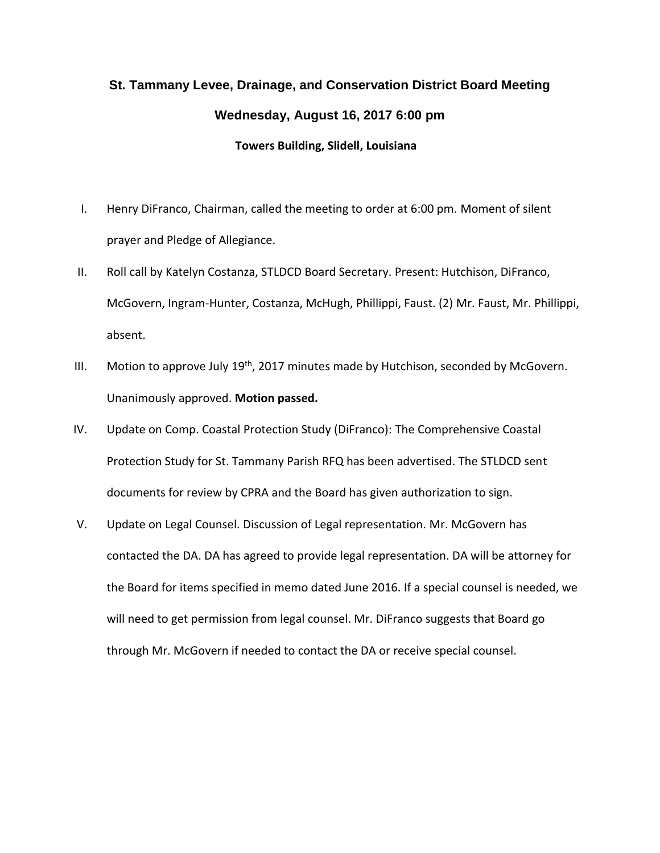## **St. Tammany Levee, Drainage, and Conservation District Board Meeting Wednesday, August 16, 2017 6:00 pm Towers Building, Slidell, Louisiana**

- I. Henry DiFranco, Chairman, called the meeting to order at 6:00 pm. Moment of silent prayer and Pledge of Allegiance.
- II. Roll call by Katelyn Costanza, STLDCD Board Secretary. Present: Hutchison, DiFranco, McGovern, Ingram-Hunter, Costanza, McHugh, Phillippi, Faust. (2) Mr. Faust, Mr. Phillippi, absent.
- III. Motion to approve July  $19<sup>th</sup>$ , 2017 minutes made by Hutchison, seconded by McGovern. Unanimously approved. **Motion passed.**
- IV. Update on Comp. Coastal Protection Study (DiFranco): The Comprehensive Coastal Protection Study for St. Tammany Parish RFQ has been advertised. The STLDCD sent documents for review by CPRA and the Board has given authorization to sign.
- V. Update on Legal Counsel. Discussion of Legal representation. Mr. McGovern has contacted the DA. DA has agreed to provide legal representation. DA will be attorney for the Board for items specified in memo dated June 2016. If a special counsel is needed, we will need to get permission from legal counsel. Mr. DiFranco suggests that Board go through Mr. McGovern if needed to contact the DA or receive special counsel.